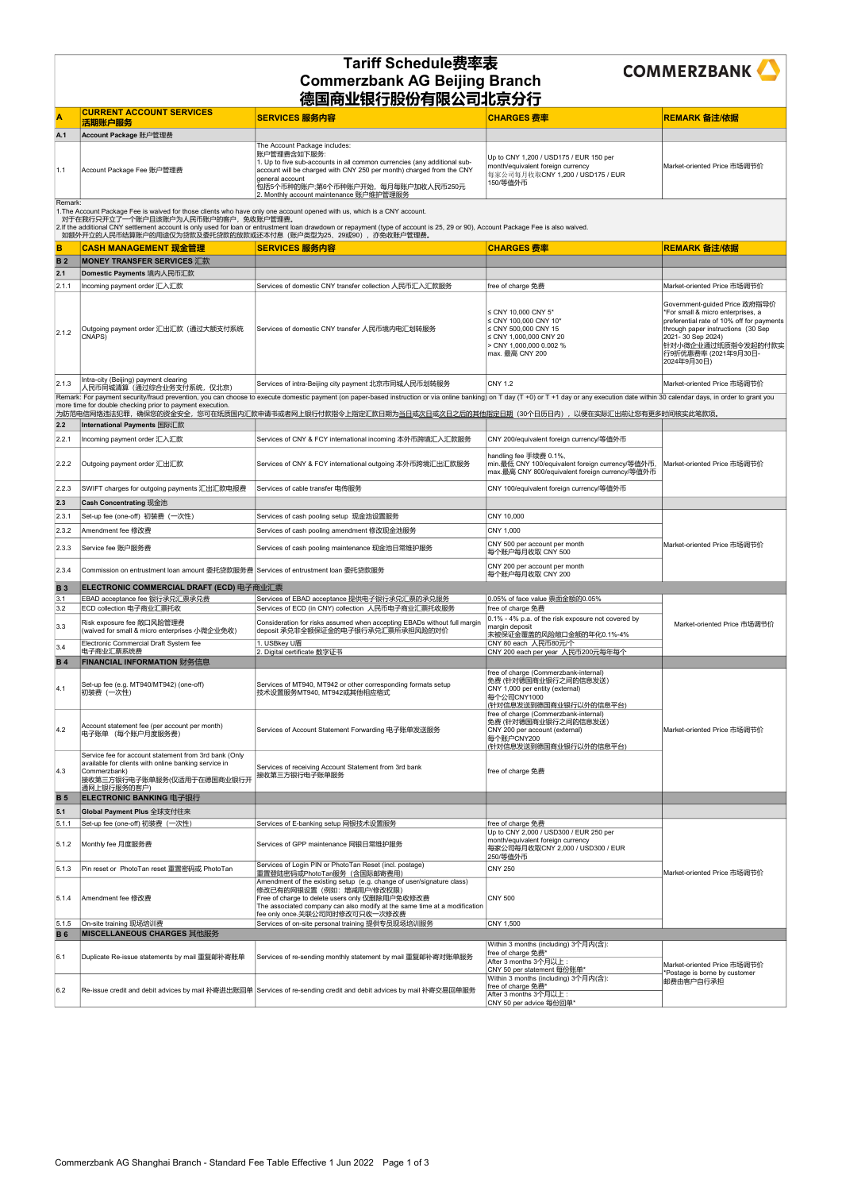| A.      | <b>CURRENT ACCOUNT SERVICES</b><br>活期账户服务 | SERVICES 服务内容                                                                                                                                                                                                                                                                                          | <b>CHARGES 费率</b>                                                                                                           | REMARK 备注/依据                |  |  |
|---------|-------------------------------------------|--------------------------------------------------------------------------------------------------------------------------------------------------------------------------------------------------------------------------------------------------------------------------------------------------------|-----------------------------------------------------------------------------------------------------------------------------|-----------------------------|--|--|
| A.1     | Account Package 账户管理费                     |                                                                                                                                                                                                                                                                                                        |                                                                                                                             |                             |  |  |
| 1.1     | Account Package Fee 账户管理费                 | The Account Package includes:<br> 账户管理费含如下服务:<br>1. Up to five sub-accounts in all common currencies (any additional sub-<br>account will be charged with CNY 250 per month) charged from the CNY<br>ceneral account<br> 包括5个币种的账户;第6个币种账户开始,每月每账户加收人民币250元<br>2. Monthly account maintenance 账户维护管理服务 | Up to CNY 1,200 / USD175 / EUR 150 per<br>month/equivalent foreign currency<br>每家公司每月收取CNY 1,200 / USD175 / EUR<br>150/等值外币 | Market-oriented Price 市场调节价 |  |  |
| Domark: |                                           |                                                                                                                                                                                                                                                                                                        |                                                                                                                             |                             |  |  |

Remark: For payment security/fraud prevention, you can choose to execute domestic payment (on paper-based instruction or via online banking) on T day (T +0) or T +1 day or any execution date within 30 calendar days, in ord more time for double checking prior to payment execution.

| 如额外开立的人民币结算账户的用途仅为贷款及委托贷款的放款或还本付息(账户类型为25、29或90),亦免收账户管理费。 |                                                                   |                                                        |                                                                                                                                                        |                                                                                                                                                                                                                                           |
|------------------------------------------------------------|-------------------------------------------------------------------|--------------------------------------------------------|--------------------------------------------------------------------------------------------------------------------------------------------------------|-------------------------------------------------------------------------------------------------------------------------------------------------------------------------------------------------------------------------------------------|
| в                                                          | CASH MANAGEMENT 现金管理                                              | SERVICES 服务内容                                          | <b>CHARGES 费率</b>                                                                                                                                      | REMARK 备注/依据                                                                                                                                                                                                                              |
| <b>B</b> 2                                                 | <b>IMONEY TRANSFER SERVICES 汇款</b>                                |                                                        |                                                                                                                                                        |                                                                                                                                                                                                                                           |
| 2.1                                                        | Domestic Payments 境内人民币汇款                                         |                                                        |                                                                                                                                                        |                                                                                                                                                                                                                                           |
| 2.1.1                                                      | Incoming payment order 汇入汇款                                       | Services of domestic CNY transfer collection 人民币汇入汇款服务 | free of charge 免费                                                                                                                                      | Market-oriented Price 市场调节价                                                                                                                                                                                                               |
| 2.1.2                                                      | Outgoing payment order 汇出汇款 (通过大额支付系统<br>CNAPS)                   | Services of domestic CNY transfer 人民币境内电汇划转服务          | $\leq$ CNY 10.000 CNY 5*<br>≤ CNY 100.000 CNY 10*<br>≤ CNY 500,000 CNY 15<br>$\leq$ CNY 1,000,000 CNY 20<br>> CNY 1,000,000 0.002 %<br>max. 最高 CNY 200 | Government-quided Price 政府指导价<br>*For small & micro enterprises, a<br>preferential rate of 10% off for payments<br>through paper instructions (30 Sep<br>2021-30 Sep 2024)<br> 针对小微企业通过纸质指令发起的付款实<br> 行9折优惠费率 (2021年9月30日-<br>2024年9月30日) |
| 2.1.3                                                      | Intra-city (Beijing) payment clearing<br>人民币同城清算(通过综合业务支付系统, 仅北京) | Services of intra-Beijing city payment 北京市同城人民币划转服务    | CNY 1.2                                                                                                                                                | Market-oriented Price 市场调节价                                                                                                                                                                                                               |

|               | 为防范电信网络违法犯罪,确保您的资金安全,您可在纸质国内汇款申请书或者网上银行付款指令上指定汇款日期为 <u>当日或次日或次日之后的其他指定日期</u> (30个日历日内),以便在实际汇出前让您有更多时间核实此笔款项。                                                              |                                                                                                                                                                                                                                                                    |                                                                                                                                           |                                                              |  |
|---------------|----------------------------------------------------------------------------------------------------------------------------------------------------------------------------|--------------------------------------------------------------------------------------------------------------------------------------------------------------------------------------------------------------------------------------------------------------------|-------------------------------------------------------------------------------------------------------------------------------------------|--------------------------------------------------------------|--|
| 2.2           | International Payments 国际汇款                                                                                                                                                |                                                                                                                                                                                                                                                                    |                                                                                                                                           |                                                              |  |
| 2.2.1         | Incoming payment order 汇入汇款                                                                                                                                                | Services of CNY & FCY international incoming 本外币跨境汇入汇款服务                                                                                                                                                                                                           | CNY 200/equivalent foreign currency/等值外币                                                                                                  |                                                              |  |
| 2.2.2         | Outgoing payment order 汇出汇款                                                                                                                                                | Services of CNY & FCY international outgoing 本外币跨境汇出汇款服务                                                                                                                                                                                                           | handling fee 手续费 0.1%,<br>min.最低 CNY 100/equivalent foreign currency/等值外币,<br>max.最高 CNY 800/equivalent foreign currency/等值外币             | Market-oriented Price 市场调节价                                  |  |
| 2.2.3         | SWIFT charges for outgoing payments 汇出汇款电报费                                                                                                                                | Services of cable transfer 电传服务                                                                                                                                                                                                                                    | CNY 100/equivalent foreign currency/等值外币                                                                                                  |                                                              |  |
| $ 2.3\rangle$ | <b>Cash Concentrating 现金池</b>                                                                                                                                              |                                                                                                                                                                                                                                                                    |                                                                                                                                           |                                                              |  |
| 2.3.1         | Set-up fee (one-off) 初装费 (一次性)                                                                                                                                             | Services of cash pooling setup 现金池设置服务                                                                                                                                                                                                                             | CNY 10,000                                                                                                                                |                                                              |  |
| 2.3.2         | Amendment fee 修改费                                                                                                                                                          | Services of cash pooling amendment 修改现金池服务                                                                                                                                                                                                                         | CNY 1,000                                                                                                                                 |                                                              |  |
| 2.3.3         | Service fee 账户服务费                                                                                                                                                          | Services of cash pooling maintenance 现金池日常维护服务                                                                                                                                                                                                                     | CNY 500 per account per month<br>每个账户每月收取 CNY 500                                                                                         | Market-oriented Price 市场调节价                                  |  |
| 2.3.4         | Commission on entrustment loan amount 委托贷款服务费 Services of entrustment loan 委托贷款服务                                                                                          |                                                                                                                                                                                                                                                                    | CNY 200 per account per month<br>每个账户每月收取 CNY 200                                                                                         |                                                              |  |
| <b>B</b> 3    | ELECTRONIC COMMERCIAL DRAFT (ECD) 电子商业汇票                                                                                                                                   |                                                                                                                                                                                                                                                                    |                                                                                                                                           |                                                              |  |
| 3.1           | EBAD acceptance fee 银行承兑汇票承兑费                                                                                                                                              | Services of EBAD acceptance 提供电子银行承兑汇票的承兑服务                                                                                                                                                                                                                        | 0.05% of face value 票面金额的0.05%                                                                                                            |                                                              |  |
| 3.2           | ECD collection 电子商业汇票托收                                                                                                                                                    | Services of ECD (in CNY) collection 人民币电子商业汇票托收服务                                                                                                                                                                                                                  | free of charge 免费                                                                                                                         |                                                              |  |
| 3.3           | Risk exposure fee 敞口风险管理费<br>(waived for small & micro enterprises 小微企业免收)                                                                                                 | Consideration for risks assumed when accepting EBADs without full margin<br>deposit 承兑非全额保证金的电子银行承兑汇票所承担风险的对价                                                                                                                                                      | 0.1% - 4% p.a. of the risk exposure not covered by<br>margin deposit<br>未被保证金覆盖的风险敞口金额的年化0.1%-4%                                          | Market-oriented Price 市场调节价                                  |  |
| 3.4           | Electronic Commercial Draft System fee<br>电子商业汇票系统费                                                                                                                        | 1. USBkey U盾<br>2. Digital certificate 数字证书                                                                                                                                                                                                                        | CNY 80 each 人民币80元/个<br>CNY 200 each per year 人民币200元每年每个                                                                                 |                                                              |  |
| <b>B4</b>     | <b>FINANCIAL INFORMATION 财务信息</b>                                                                                                                                          |                                                                                                                                                                                                                                                                    |                                                                                                                                           |                                                              |  |
| 4.1           | Set-up fee (e.g. MT940/MT942) (one-off)<br>初装费(一次性)                                                                                                                        | Services of MT940, MT942 or other corresponding formats setup<br>技术设置服务MT940, MT942或其他相应格式                                                                                                                                                                         | free of charge (Commerzbank-internal)<br>免费 (针对德国商业银行之间的信息发送)<br>CNY 1,000 per entity (external)<br>每个公司CNY1000<br>(针对信息发送到德国商业银行以外的信息平台) |                                                              |  |
| 4.2           | Account statement fee (per account per month)<br>电子账单 (每个账户月度服务费)                                                                                                          | Services of Account Statement Forwarding 电子账单发送服务                                                                                                                                                                                                                  | free of charge (Commerzbank-internal)<br>免费 (针对德国商业银行之间的信息发送)<br>CNY 200 per account (external)<br>每个账户CNY200<br>(针对信息发送到德国商业银行以外的信息平台)   | Market-oriented Price 市场调节价                                  |  |
| 4.3           | Service fee for account statement from 3rd bank (Only<br>available for clients with online banking service in<br>Commerzbank)<br>接收第三方银行电子账单服务(仅适用于在德国商业银行开<br>通网上银行服务的客户) | Services of receiving Account Statement from 3rd bank<br>接收第三方银行电子账单服务                                                                                                                                                                                             | free of charge 免费                                                                                                                         |                                                              |  |
| <b>B</b> 5    | ELECTRONIC BANKING 电子银行                                                                                                                                                    |                                                                                                                                                                                                                                                                    |                                                                                                                                           |                                                              |  |
| 5.1           | Global Payment Plus 全球支付往来                                                                                                                                                 |                                                                                                                                                                                                                                                                    |                                                                                                                                           |                                                              |  |
| 5.1.1         | Set-up fee (one-off) 初装费 (一次性)                                                                                                                                             | Services of E-banking setup 网银技术设置服务                                                                                                                                                                                                                               | free of charge 免费                                                                                                                         |                                                              |  |
| 5.1.2         | Monthly fee 月度服务费                                                                                                                                                          | Services of GPP maintenance 网银日常维护服务                                                                                                                                                                                                                               | Up to CNY 2,000 / USD300 / EUR 250 per<br>month/equivalent foreign currency<br>每家公司每月收取CNY 2,000 / USD300 / EUR<br>250/等值外币               |                                                              |  |
| 5.1.3         | Pin reset or PhotoTan reset 重置密码或 PhotoTan                                                                                                                                 | Services of Login PIN or PhotoTan Reset (incl. postage)<br>重置登陆密码或PhotoTan服务 (含国际邮寄费用)                                                                                                                                                                             | <b>CNY 250</b>                                                                                                                            | Market-oriented Price 市场调节价                                  |  |
| 5.1.4         | Amendment fee 修改费                                                                                                                                                          | Amendment of the existing setup (e.g. change of user/signature class)<br>修改已有的网银设置(例如: 增减用户/修改权限)<br>Free of charge to delete users only 仅删除用户免收修改费<br>The associated company can also modify at the same time at a modification<br>fee only once.关联公司同时修改可只收一次修改费 | <b>CNY 500</b>                                                                                                                            |                                                              |  |
| 5.1.5         | On-site training 现场培训费                                                                                                                                                     | Services of on-site personal training 提供专员现场培训服务                                                                                                                                                                                                                   | CNY 1,500                                                                                                                                 |                                                              |  |
| <b>B6</b>     | MISCELLANEOUS CHARGES 其他服务                                                                                                                                                 |                                                                                                                                                                                                                                                                    |                                                                                                                                           |                                                              |  |
| 6.1           | Duplicate Re-issue statements by mail 重复邮补寄账单                                                                                                                              | Services of re-sending monthly statement by mail 重复邮补寄对账单服务                                                                                                                                                                                                        | Within 3 months (including) 3个月内(含):<br>free of charge 免费*<br>After 3 months 3个月以上:<br>CNY 50 per statement 每份账单*                         | Market-oriented Price 市场调节价<br>*Postage is borne by customer |  |
| 6.2           |                                                                                                                                                                            | Re-issue credit and debit advices by mail 补寄进出账回单 Services of re-sending credit and debit advices by mail 补寄交易回单服务                                                                                                                                                 | Within 3 months (including) 3个月内(含):<br>free of charge 免费*<br>After 3 months 3个月以上:<br>CNY 50 per advice 每份回单*                            | 邮费由客户自行承担                                                    |  |

## Tariff Schedule费率表 Commerzbank AG Beijing Branch 德国商业银行股份有限公司北京分行



Remark:

1.The Account Package Fee is waived for those clients who have only one account opened with us, which is a CNY account.

对于在我行只开立了一个账户且该账户为人民币账户的客户,免收账户管理费。

2.If the additional CNY settlement account is only used for loan or entrustment loan drawdown or repayment (type of account is 25, 29 or 90), Account Package Fee is also waived.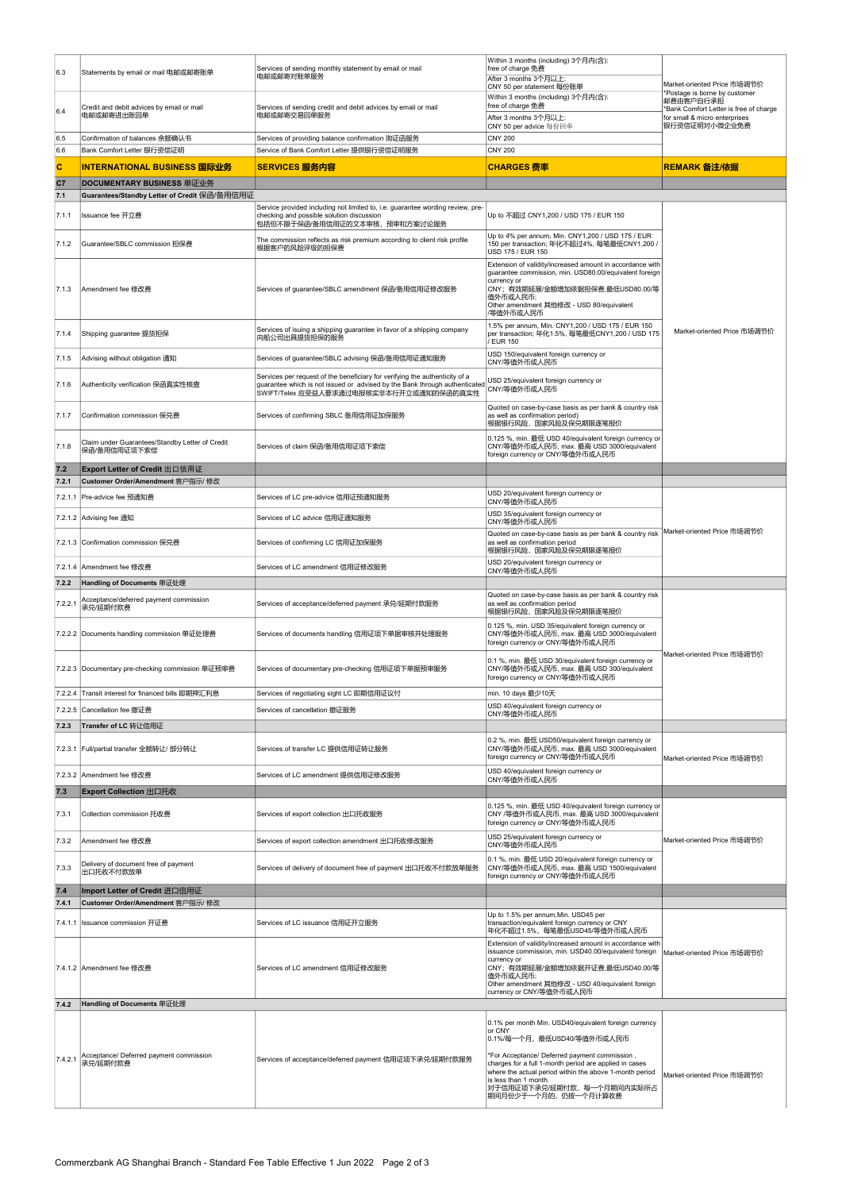| 6.3          | Statements by email or mail 电邮或邮寄账单                             | Services of sending monthly statement by email or mail<br>电邮或邮寄对账单服务                                                                                                                                 | Within 3 months (including) 3个月内(含):<br>free of charge 免费<br>After 3 months 3个月以上:<br>CNY 50 per statement 每份账单                                                                                                                             | Market-oriented Price 市场调节价                                                                                                          |
|--------------|-----------------------------------------------------------------|------------------------------------------------------------------------------------------------------------------------------------------------------------------------------------------------------|---------------------------------------------------------------------------------------------------------------------------------------------------------------------------------------------------------------------------------------------|--------------------------------------------------------------------------------------------------------------------------------------|
| 6.4          | Credit and debit advices by email or mail<br>电邮或邮寄进出账回单         | Services of sending credit and debit advices by email or mail<br>电邮或邮寄交易回单服务                                                                                                                         | Within 3 months (including) 3个月内(含):<br>free of charge 免费<br>After 3 months 3个月以上:                                                                                                                                                          | Postage is borne by customer<br>邮费由客户自行承担<br>Bank Comfort Letter is free of charge<br>for small & micro enterprises<br>银行资信证明对小微企业免费 |
| 6.5          | Confirmation of balances 余额确认书                                  | Services of providing balance confirmation 询证函服务                                                                                                                                                     | CNY 50 per advice 每份回单<br><b>CNY 200</b>                                                                                                                                                                                                    |                                                                                                                                      |
| 6.6          | Bank Comfort Letter 银行资信证明                                      | Service of Bank Comfort Letter 提供银行资信证明服务                                                                                                                                                            | <b>CNY 200</b>                                                                                                                                                                                                                              |                                                                                                                                      |
| $\mathbf{C}$ | INTERNATIONAL BUSINESS 国际业务                                     | <b>SERVICES 服务内容</b>                                                                                                                                                                                 | <b>CHARGES 费率</b>                                                                                                                                                                                                                           | REMARK 备注/依据                                                                                                                         |
| c7           | DOCUMENTARY BUSINESS 单证业务                                       |                                                                                                                                                                                                      |                                                                                                                                                                                                                                             |                                                                                                                                      |
| 7.1          | Guarantees/Standby Letter of Credit 保函/备用信用证                    |                                                                                                                                                                                                      |                                                                                                                                                                                                                                             |                                                                                                                                      |
| 7.1.1        | Issuance fee 开立费                                                | Service provided including not limited to, i.e. guarantee wording review, pre-<br>checking and possible solution discussion<br>包括但不限于保函/备用信用证的文本审核,预审和方案讨论服务                                         | Up to 不超过 CNY1,200 / USD 175 / EUR 150                                                                                                                                                                                                      |                                                                                                                                      |
| 7.1.2        | Guarantee/SBLC commission 担保费                                   | The commission reflects as risk premium according to client risk profile<br>根据客户的风险评级的担保费                                                                                                            | Up to 4% per annum, Min. CNY1,200 / USD 175 / EUR<br>150 per transaction; 年化不超过4%, 每笔最低CNY1,200 /<br><b>USD 175 / EUR 150</b>                                                                                                               |                                                                                                                                      |
| 7.1.3        | Amendment fee 修改费                                               | Services of guarantee/SBLC amendment 保函/备用信用证修改服务                                                                                                                                                    | Extension of validity/increased amount in accordance with<br>guarantee commission, min. USD80.00/equivalent foreign<br>currency or<br>CNY;有效期延展/金额增加依据担保费,最低USD80.00/等<br>值外币或人民币;<br>Other amendment 其他修改 - USD 80/equivalent<br>/等值外币或人民币 |                                                                                                                                      |
| 7.1.4        | Shipping guarantee 提货担保                                         | Services of isuing a shipping guarantee in favor of a shipping company<br>向船公司出具提货担保的服务                                                                                                              | 1.5% per annum, Min. CNY1,200 / USD 175 / EUR 150<br>per transaction; 年化1.5%, 每笔最低CNY1,200 / USD 175<br><b>EUR 150</b>                                                                                                                      | Market-oriented Price 市场调节价                                                                                                          |
| 7.1.5        | Advising without obligation 通知                                  | Services of guarantee/SBLC advising 保函/备用信用证通知服务                                                                                                                                                     | USD 150/equivalent foreign currency or<br>CNY/等值外币或人民币                                                                                                                                                                                      |                                                                                                                                      |
| 7.1.6        | Authenticity verification 保函真实性核查                               | Services per request of the beneficiary for verifying the authenticity of a<br>guarantee which is not issued or advised by the Bank through authenticated<br>SWIFT/Telex 应受益人要求通过电报核实非本行开立或通知的保函的真实性 | USD 25/equivalent foreign currency or<br>CNY/等值外币或人民币                                                                                                                                                                                       |                                                                                                                                      |
| 7.1.7        | Confirmation commission 保兑费                                     | Services of confirming SBLC 备用信用证加保服务                                                                                                                                                                | Quoted on case-by-case basis as per bank & country risk<br>as well as confirmation period)<br>根据银行风险,国家风险及保兑期限逐笔报价                                                                                                                          |                                                                                                                                      |
| 7.1.8        | Claim under Guarantees/Standby Letter of Credit<br>保函/备用信用证项下索偿 | Services of claim 保函/备用信用证项下索偿                                                                                                                                                                       | 0.125 %, min. 最低 USD 40/equivalent foreign currency or<br>CNY/等值外币或人民币, max. 最高 USD 3000/equivalent<br>foreign currency or CNY/等值外币或人民币                                                                                                     |                                                                                                                                      |
| $7.2$        | Export Letter of Credit 出口信用证                                   |                                                                                                                                                                                                      |                                                                                                                                                                                                                                             |                                                                                                                                      |
| 7.2.1        | Customer Order/Amendment 客户指示/ 修改                               |                                                                                                                                                                                                      | USD 20/equivalent foreign currency or                                                                                                                                                                                                       |                                                                                                                                      |
|              | 7.2.1.1 Pre-advice fee 预通知费                                     | Services of LC pre-advice 信用证预通知服务                                                                                                                                                                   | CNY/等值外币或人民币                                                                                                                                                                                                                                |                                                                                                                                      |
|              | 7.2.1.2 Advising fee 通知                                         | Services of LC advice 信用证通知服务                                                                                                                                                                        | USD 35/equivalent foreign currency or<br>CNY/等值外币或人民币                                                                                                                                                                                       | Market-oriented Price 市场调节价                                                                                                          |
|              | 7.2.1.3 Confirmation commission 保兑费                             | Services of confirming LC 信用证加保服务                                                                                                                                                                    | Quoted on case-by-case basis as per bank & country risk<br>as well as confirmation period<br>根据银行风险,国家风险及保兑期限逐笔报价                                                                                                                           |                                                                                                                                      |
|              | 7.2.1.4 Amendment fee 修改费                                       | Services of LC amendment 信用证修改服务                                                                                                                                                                     | USD 20/equivalent foreign currency or<br>CNY/等值外币或人民币                                                                                                                                                                                       |                                                                                                                                      |
| 7.2.2        | Handling of Documents 单证处理                                      |                                                                                                                                                                                                      |                                                                                                                                                                                                                                             |                                                                                                                                      |
| 7.2.2.1      | Acceptance/deferred payment commission<br>承兑/延期付款费              | Services of acceptance/deferred payment 承兑/延期付款服务                                                                                                                                                    | Quoted on case-by-case basis as per bank & country risk<br>as well as confirmation period<br>根据银行风险,国家风险及保兑期限逐笔报价                                                                                                                           |                                                                                                                                      |
|              | 7.2.2.2 Documents handling commission 单证处理费                     | Services of documents handling 信用证项下单据审核并处理服务                                                                                                                                                        | 0.125 %, min. USD 35/equivalent foreign currency or<br>CNY/等值外币或人民币, max. 最高 USD 3000/equivalent<br>foreign currency or CNY/等值外币或人民币                                                                                                        |                                                                                                                                      |
|              | 7.2.2.3 Documentary pre-checking commission 单证预审费               | Services of documentary pre-checking 信用证项下单据预审服务                                                                                                                                                     | 0.1 %, min. 最低 USD 30/equivalent foreign currency or<br>CNY/等值外币或人民币, max. 最高 USD 300/equivalent<br>foreign currency or CNY/等值外币或人民币                                                                                                        | Market-oriented Price 市场调节价                                                                                                          |
| 7.2.2.4      | Transit interest for financed bills 即期押汇利息                      | Services of negotiating sight LC 即期信用证议付                                                                                                                                                             | min. 10 days 最少10天                                                                                                                                                                                                                          |                                                                                                                                      |
|              | 7.2.2.5 Cancellation fee 撤证费                                    | Services of cancellation 撤证服务                                                                                                                                                                        | USD 40/equivalent foreign currency or<br>CNY/等值外币或人民币                                                                                                                                                                                       |                                                                                                                                      |
| 7.2.3        | Transfer of LC 转让信用证                                            |                                                                                                                                                                                                      |                                                                                                                                                                                                                                             |                                                                                                                                      |
|              | 7.2.3.1 Full/partial transfer 全额转让/ 部分转让                        | Services of transfer LC 提供信用证转让服务                                                                                                                                                                    | 0.2 %, min. 最低 USD50/equivalent foreign currency or<br>CNY/等值外币或人民币, max. 最高 USD 3000/equivalent<br>foreign currency or CNY/等值外币或人民币                                                                                                        | Market-oriented Price 市场调节价                                                                                                          |
|              | 7.2.3.2 Amendment fee 修改费                                       | Services of LC amendment 提供信用证修改服务                                                                                                                                                                   | USD 40/equivalent foreign currency or<br>CNY/等值外币或人民币                                                                                                                                                                                       |                                                                                                                                      |
| 7.3          | Export Collection 出口托收                                          |                                                                                                                                                                                                      |                                                                                                                                                                                                                                             |                                                                                                                                      |
| 7.3.1        | Collection commission 托收费                                       | Services of export collection 出口托收服务                                                                                                                                                                 | 0.125 %, min. 最低 USD 40/equivalent foreign currency or<br>CNY /等值外币或人民币, max. 最高 USD 3000/equivalent<br>foreign currency or CNY/等值外币或人民币                                                                                                    |                                                                                                                                      |
| 7.3.2        | Amendment fee 修改费                                               | Services of export collection amendment 出口托收修改服务                                                                                                                                                     | USD 25/equivalent foreign currency or<br>CNY/等值外币或人民币                                                                                                                                                                                       | Market-oriented Price 市场调节价                                                                                                          |
| 7.3.3        | Delivery of document free of payment<br>出口托收不付款放单               | Services of delivery of document free of payment 出口托收不付款放单服务                                                                                                                                         | 0.1 %, min. 最低 USD 20/equivalent foreign currency or<br>CNY/等值外币或人民币, max. 最高 USD 1500/equivalent<br>foreign currency or CNY/等值外币或人民币                                                                                                       |                                                                                                                                      |
| $7.4$        | Import Letter of Credit 进口信用证                                   |                                                                                                                                                                                                      |                                                                                                                                                                                                                                             |                                                                                                                                      |

| 7.4.1   | Customer Order/Amendment 客户指示/ 修改                   |                                                        |                                                                                                                                                                                                                                                                                                                                                       |                             |
|---------|-----------------------------------------------------|--------------------------------------------------------|-------------------------------------------------------------------------------------------------------------------------------------------------------------------------------------------------------------------------------------------------------------------------------------------------------------------------------------------------------|-----------------------------|
|         | 7.4.1.1 Issuance commission 开证费                     | Services of LC issuance 信用证开立服务                        | Up to 1.5% per annum, Min. USD45 per<br>transaction/equivalent foreign currency or CNY<br>年化不超过1.5%,每笔最低USD45/等值外币或人民币                                                                                                                                                                                                                                |                             |
|         | 7.4.1.2 Amendment fee 修改费                           | Services of LC amendment 信用证修改服务                       | Extension of validity/increased amount in accordance with<br>issuance commission, min. USD40.00/equivalent foreign<br>currency or<br> CNY; 有效期延展/金额增加依据开证费,最低USD40.00/等 <br> 值外币或人民币;<br>Other amendment 其他修改 - USD 40/equivalent foreign<br>currency or CNY/等值外币或人民币                                                                                 | Market-oriented Price 市场调节价 |
| 7.4.2   | Handling of Documents 单证处理                          |                                                        |                                                                                                                                                                                                                                                                                                                                                       |                             |
| 7.4.2.1 | Acceptance/ Deferred payment commission<br>承兑/延期付款费 | Services of acceptance/deferred payment 信用证项下承兑/延期付款服务 | 0.1% per month Min. USD40/equivalent foreign currency<br>or CNY<br>10.1%/每一个月,最低USD40/等值外币或人民币<br>*For Acceptance/ Deferred payment commission,<br>charges for a full 1-month period are applied in cases<br>where the actual period within the above 1-month period<br>is less than 1 month.<br> 对于信用证项下承兑/延期付款,每一个月期间内实际所占<br> 期间月份少于一个月的,仍按一个月计算收费 | Market-oriented Price 市场调节价 |

Commerzbank AG Shanghai Branch - Standard Fee Table Effective 1 Jun 2022 Page 2 of 3